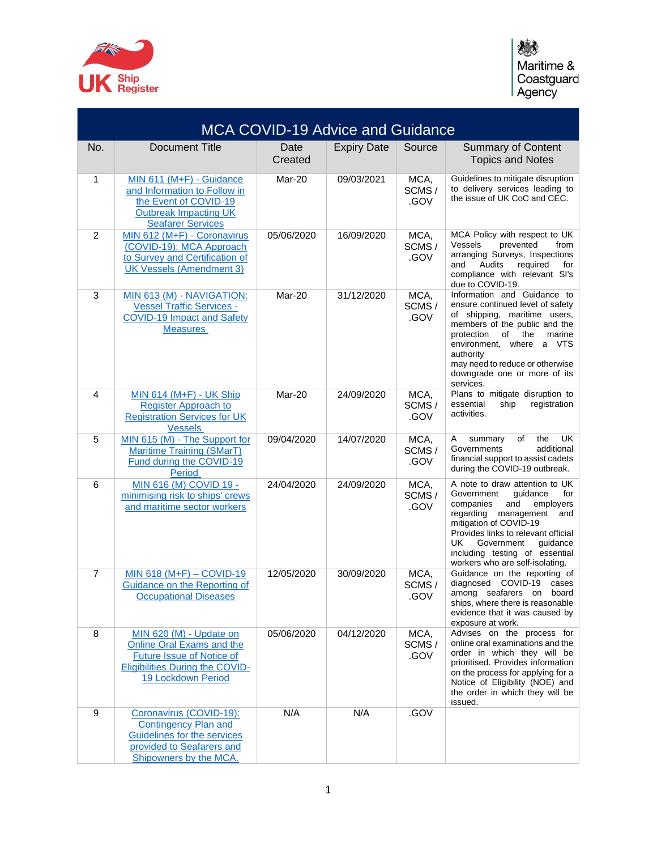

| <b>MCA COVID-19 Advice and Guidance</b> |                                                                                                                                                   |                 |                    |                       |                                                                                                                                                                                                                                                                                                     |
|-----------------------------------------|---------------------------------------------------------------------------------------------------------------------------------------------------|-----------------|--------------------|-----------------------|-----------------------------------------------------------------------------------------------------------------------------------------------------------------------------------------------------------------------------------------------------------------------------------------------------|
| No.                                     | <b>Document Title</b>                                                                                                                             | Date<br>Created | <b>Expiry Date</b> | Source                | <b>Summary of Content</b><br><b>Topics and Notes</b>                                                                                                                                                                                                                                                |
| 1                                       | MIN 611 (M+F) - Guidance<br>and Information to Follow in<br>the Event of COVID-19<br><b>Outbreak Impacting UK</b><br><b>Seafarer Services</b>     | Mar-20          | 09/03/2021         | MCA,<br>SCMS/<br>.GOV | Guidelines to mitigate disruption<br>to delivery services leading to<br>the issue of UK CoC and CEC.                                                                                                                                                                                                |
| 2                                       | MIN 612 (M+F) - Coronavirus<br>(COVID-19): MCA Approach<br>to Survey and Certification of<br><b>UK Vessels (Amendment 3)</b>                      | 05/06/2020      | 16/09/2020         | MCA,<br>SCMS/<br>.GOV | MCA Policy with respect to UK<br>Vessels<br>prevented<br>from<br>arranging Surveys, Inspections<br>Audits<br>required<br>and<br>for<br>compliance with relevant SI's<br>due to COVID-19.                                                                                                            |
| 3                                       | MIN 613 (M) - NAVIGATION:<br><b>Vessel Traffic Services -</b><br><b>COVID-19 Impact and Safety</b><br><b>Measures</b>                             | Mar-20          | 31/12/2020         | MCA,<br>SCMS/<br>.GOV | Information and Guidance to<br>ensure continued level of safety<br>of shipping, maritime users,<br>members of the public and the<br>of<br>the<br>marine<br>protection<br>environment, where<br>a VTS<br>authority<br>may need to reduce or otherwise<br>downgrade one or more of its<br>services.   |
| 4                                       | MIN 614 (M+F) - UK Ship<br><b>Register Approach to</b><br><b>Registration Services for UK</b><br><b>Vessels</b>                                   | Mar-20          | 24/09/2020         | MCA,<br>SCMS/<br>.GOV | Plans to mitigate disruption to<br>registration<br>essential<br>ship<br>activities.                                                                                                                                                                                                                 |
| 5                                       | MIN 615 (M) - The Support for<br><b>Maritime Training (SMarT)</b><br>Fund during the COVID-19<br><b>Period</b>                                    | 09/04/2020      | 14/07/2020         | MCA,<br>SCMS/<br>.GOV | <b>UK</b><br>of<br>the<br>Α<br>summary<br>Governments<br>additional<br>financial support to assist cadets<br>during the COVID-19 outbreak.                                                                                                                                                          |
| 6                                       | MIN 616 (M) COVID 19 -<br>minimising risk to ships' crews<br>and maritime sector workers                                                          | 24/04/2020      | 24/09/2020         | MCA,<br>SCMS/<br>.GOV | A note to draw attention to UK<br>Government<br>guidance<br>for<br>companies<br>and<br>employers<br>regarding management and<br>mitigation of COVID-19<br>Provides links to relevant official<br>UK.<br>Government<br>guidance<br>including testing of essential<br>workers who are self-isolating. |
| $\overline{7}$                          | MIN 618 (M+F) $-$ COVID-19<br>Guidance on the Reporting of<br><b>Occupational Diseases</b>                                                        | 12/05/2020      | 30/09/2020         | MCA,<br>SCMS/<br>.GOV | Guidance on the reporting of<br>diagnosed COVID-19<br>cases<br>among seafarers on<br>board<br>ships, where there is reasonable<br>evidence that it was caused by<br>exposure at work.                                                                                                               |
| 8                                       | MIN 620 (M) - Update on<br>Online Oral Exams and the<br>Future Issue of Notice of<br><b>Eligibilities During the COVID-</b><br>19 Lockdown Period | 05/06/2020      | 04/12/2020         | MCA,<br>SCMS/<br>.GOV | Advises on the process for<br>online oral examinations and the<br>order in which they will be<br>prioritised. Provides information<br>on the process for applying for a<br>Notice of Eligibility (NOE) and<br>the order in which they will be<br>issued.                                            |
| 9                                       | Coronavirus (COVID-19):<br><b>Contingency Plan and</b><br>Guidelines for the services<br>provided to Seafarers and<br>Shipowners by the MCA.      | N/A             | N/A                | .GOV                  |                                                                                                                                                                                                                                                                                                     |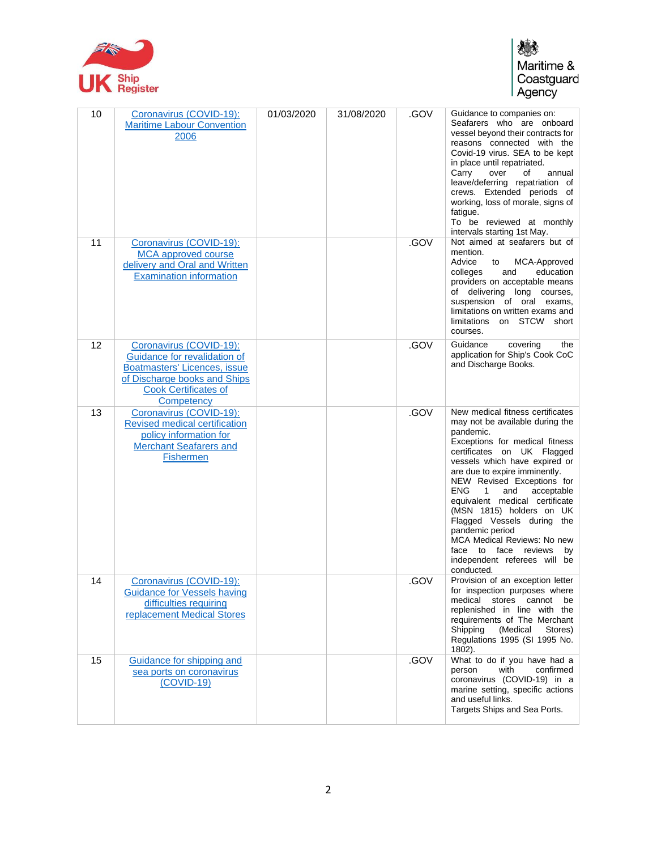

## 爆 Maritime &<br>Coastguard<br>Agency

| 10 | Coronavirus (COVID-19):<br><b>Maritime Labour Convention</b><br>2006                                                                                                        | 01/03/2020 | 31/08/2020 | .GOV | Guidance to companies on:<br>Seafarers who are onboard<br>vessel beyond their contracts for<br>reasons connected with the<br>Covid-19 virus. SEA to be kept<br>in place until repatriated.<br>Carry<br>over<br>οf<br>annual<br>leave/deferring repatriation of<br>crews. Extended periods of<br>working, loss of morale, signs of<br>fatigue.<br>To be reviewed at monthly<br>intervals starting 1st May.                                                                                                                        |
|----|-----------------------------------------------------------------------------------------------------------------------------------------------------------------------------|------------|------------|------|----------------------------------------------------------------------------------------------------------------------------------------------------------------------------------------------------------------------------------------------------------------------------------------------------------------------------------------------------------------------------------------------------------------------------------------------------------------------------------------------------------------------------------|
| 11 | Coronavirus (COVID-19):<br><b>MCA</b> approved course<br>delivery and Oral and Written<br><b>Examination information</b>                                                    |            |            | .GOV | Not aimed at seafarers but of<br>mention.<br>Advice<br>MCA-Approved<br>to<br>education<br>colleges<br>and<br>providers on acceptable means<br>of delivering long courses,<br>suspension of oral exams,<br>limitations on written exams and<br>limitations on STCW short<br>courses.                                                                                                                                                                                                                                              |
| 12 | Coronavirus (COVID-19):<br>Guidance for revalidation of<br><b>Boatmasters' Licences, issue</b><br>of Discharge books and Ships<br><b>Cook Certificates of</b><br>Competency |            |            | .GOV | Guidance<br>covering<br>the<br>application for Ship's Cook CoC<br>and Discharge Books.                                                                                                                                                                                                                                                                                                                                                                                                                                           |
| 13 | Coronavirus (COVID-19):<br>Revised medical certification<br>policy information for<br><b>Merchant Seafarers and</b><br><b>Fishermen</b>                                     |            |            | .GOV | New medical fitness certificates<br>may not be available during the<br>pandemic.<br>Exceptions for medical fitness<br>certificates on UK Flagged<br>vessels which have expired or<br>are due to expire imminently.<br>NEW Revised Exceptions for<br><b>ENG</b><br>$\mathbf{1}$<br>acceptable<br>and<br>equivalent medical certificate<br>(MSN 1815) holders on UK<br>Flagged Vessels during the<br>pandemic period<br>MCA Medical Reviews: No new<br>face to face<br>reviews<br>by<br>independent referees will be<br>conducted. |
| 14 | Coronavirus (COVID-19):<br><b>Guidance for Vessels having</b><br>difficulties requiring<br>replacement Medical Stores                                                       |            |            | .GOV | Provision of an exception letter<br>for inspection purposes where<br>medical<br>stores cannot<br>be<br>replenished in line with the<br>requirements of The Merchant<br>(Medical<br>Shipping<br>Stores)<br>Regulations 1995 (SI 1995 No.<br>1802).                                                                                                                                                                                                                                                                                |
| 15 | Guidance for shipping and<br>sea ports on coronavirus<br>$(COVID-19)$                                                                                                       |            |            | .GOV | What to do if you have had a<br>with<br>confirmed<br>person<br>coronavirus (COVID-19) in a<br>marine setting, specific actions<br>and useful links.<br>Targets Ships and Sea Ports.                                                                                                                                                                                                                                                                                                                                              |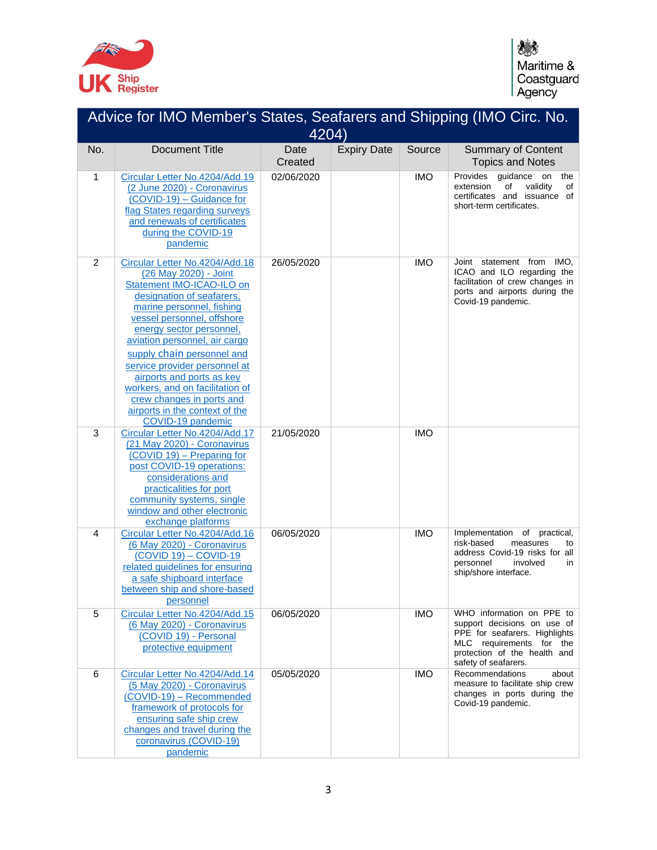

| Advice for IMO Member's States, Seafarers and Shipping (IMO Circ. No.<br>4204) |                                                                                                                                                                                                                                                                                                                                                                                                                                                              |                 |                    |            |                                                                                                                                                                               |
|--------------------------------------------------------------------------------|--------------------------------------------------------------------------------------------------------------------------------------------------------------------------------------------------------------------------------------------------------------------------------------------------------------------------------------------------------------------------------------------------------------------------------------------------------------|-----------------|--------------------|------------|-------------------------------------------------------------------------------------------------------------------------------------------------------------------------------|
| No.                                                                            | <b>Document Title</b>                                                                                                                                                                                                                                                                                                                                                                                                                                        | Date<br>Created | <b>Expiry Date</b> | Source     | <b>Summary of Content</b><br><b>Topics and Notes</b>                                                                                                                          |
| 1                                                                              | Circular Letter No.4204/Add.19<br>(2 June 2020) - Coronavirus<br>(COVID-19) - Guidance for<br>flag States regarding surveys<br>and renewals of certificates<br>during the COVID-19<br>pandemic                                                                                                                                                                                                                                                               | 02/06/2020      |                    | <b>IMO</b> | Provides guidance<br>the<br>on<br>validity<br>extension<br>of<br>of<br>certificates and issuance of<br>short-term certificates.                                               |
| $\overline{2}$                                                                 | Circular Letter No.4204/Add.18<br>(26 May 2020) - Joint<br>Statement IMO-ICAO-ILO on<br>designation of seafarers,<br>marine personnel, fishing<br>vessel personnel, offshore<br>energy sector personnel,<br>aviation personnel, air cargo<br>supply chain personnel and<br>service provider personnel at<br>airports and ports as key<br>workers, and on facilitation of<br>crew changes in ports and<br>airports in the context of the<br>COVID-19 pandemic | 26/05/2020      |                    | <b>IMO</b> | Joint statement from IMO,<br>ICAO and ILO regarding the<br>facilitation of crew changes in<br>ports and airports during the<br>Covid-19 pandemic.                             |
| 3                                                                              | Circular Letter No.4204/Add.17<br>(21 May 2020) - Coronavirus<br>(COVID 19) - Preparing for<br>post COVID-19 operations:<br>considerations and<br>practicalities for port<br>community systems, single<br>window and other electronic<br>exchange platforms                                                                                                                                                                                                  | 21/05/2020      |                    | <b>IMO</b> |                                                                                                                                                                               |
| $\overline{4}$                                                                 | Circular Letter No.4204/Add.16<br>(6 May 2020) - Coronavirus<br>$\overline{(COVID 19)} - \overline{COVID-19}$<br>related guidelines for ensuring<br>a safe shipboard interface<br>between ship and shore-based<br>personnel                                                                                                                                                                                                                                  | 06/05/2020      |                    | <b>IMO</b> | Implementation of practical,<br>risk-based<br>measures<br>to<br>address Covid-19 risks for all<br>personnel<br>involved<br>in<br>ship/shore interface.                        |
| 5                                                                              | Circular Letter No.4204/Add.15<br>(6 May 2020) - Coronavirus<br>(COVID 19) - Personal<br>protective equipment                                                                                                                                                                                                                                                                                                                                                | 06/05/2020      |                    | <b>IMO</b> | WHO information on PPE to<br>support decisions on use of<br>PPE for seafarers. Highlights<br>MLC requirements for the<br>protection of the health and<br>safety of seafarers. |
| 6                                                                              | Circular Letter No.4204/Add.14<br>(5 May 2020) - Coronavirus<br>(COVID-19) - Recommended<br>framework of protocols for<br>ensuring safe ship crew<br>changes and travel during the<br>coronavirus (COVID-19)<br>pandemic                                                                                                                                                                                                                                     | 05/05/2020      |                    | <b>IMO</b> | Recommendations<br>about<br>measure to facilitate ship crew<br>changes in ports during the<br>Covid-19 pandemic.                                                              |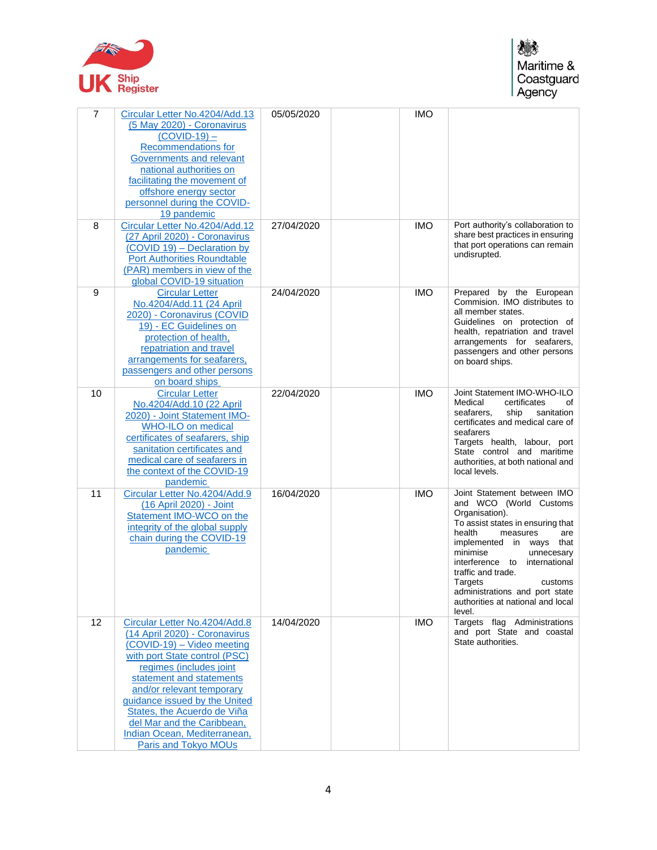

| $\overline{7}$ | Circular Letter No.4204/Add.13<br>(5 May 2020) - Coronavirus<br>$(COVID-19)$ –<br><b>Recommendations for</b><br>Governments and relevant<br>national authorities on<br>facilitating the movement of<br>offshore energy sector<br>personnel during the COVID-<br>19 pandemic                                                                                                    | 05/05/2020 | <b>IMO</b> |                                                                                                                                                                                                                                                                                                                                                                  |
|----------------|--------------------------------------------------------------------------------------------------------------------------------------------------------------------------------------------------------------------------------------------------------------------------------------------------------------------------------------------------------------------------------|------------|------------|------------------------------------------------------------------------------------------------------------------------------------------------------------------------------------------------------------------------------------------------------------------------------------------------------------------------------------------------------------------|
| 8              | Circular Letter No.4204/Add.12<br>(27 April 2020) - Coronavirus<br>(COVID 19) - Declaration by<br><b>Port Authorities Roundtable</b><br>(PAR) members in view of the<br>global COVID-19 situation                                                                                                                                                                              | 27/04/2020 | <b>IMO</b> | Port authority's collaboration to<br>share best practices in ensuring<br>that port operations can remain<br>undisrupted.                                                                                                                                                                                                                                         |
| 9              | <b>Circular Letter</b><br>No.4204/Add.11 (24 April<br>2020) - Coronavirus (COVID<br>19) - EC Guidelines on<br>protection of health,<br>repatriation and travel<br>arrangements for seafarers,<br>passengers and other persons<br>on board ships                                                                                                                                | 24/04/2020 | <b>IMO</b> | Prepared by the European<br>Commision. IMO distributes to<br>all member states.<br>Guidelines on protection of<br>health, repatriation and travel<br>arrangements for seafarers,<br>passengers and other persons<br>on board ships.                                                                                                                              |
| 10             | <b>Circular Letter</b><br>No.4204/Add.10 (22 April<br>2020) - Joint Statement IMO-<br><b>WHO-ILO on medical</b><br>certificates of seafarers, ship<br>sanitation certificates and<br>medical care of seafarers in<br>the context of the COVID-19<br>pandemic                                                                                                                   | 22/04/2020 | <b>IMO</b> | Joint Statement IMO-WHO-ILO<br>Medical<br>certificates<br>οf<br>seafarers,<br>ship<br>sanitation<br>certificates and medical care of<br>seafarers<br>Targets health, labour, port<br>State control and maritime<br>authorities, at both national and<br>local levels.                                                                                            |
| 11             | Circular Letter No.4204/Add.9<br>(16 April 2020) - Joint<br>Statement IMO-WCO on the<br>integrity of the global supply<br>chain during the COVID-19<br>pandemic                                                                                                                                                                                                                | 16/04/2020 | <b>IMO</b> | Joint Statement between IMO<br>and WCO (World Customs<br>Organisation).<br>To assist states in ensuring that<br>health<br>measures<br>are<br>implemented in ways that<br>minimise<br>unnecesary<br>interference to<br>international<br>traffic and trade.<br>Targets<br>customs<br>administrations and port state<br>authorities at national and local<br>level. |
| 12             | Circular Letter No.4204/Add.8<br>(14 April 2020) - Coronavirus<br>(COVID-19) - Video meeting<br>with port State control (PSC)<br>regimes (includes joint<br>statement and statements<br>and/or relevant temporary<br>guidance issued by the United<br>States, the Acuerdo de Viña<br>del Mar and the Caribbean,<br>Indian Ocean, Mediterranean,<br><b>Paris and Tokyo MOUs</b> | 14/04/2020 | <b>IMO</b> | Targets flag Administrations<br>and port State and coastal<br>State authorities.                                                                                                                                                                                                                                                                                 |